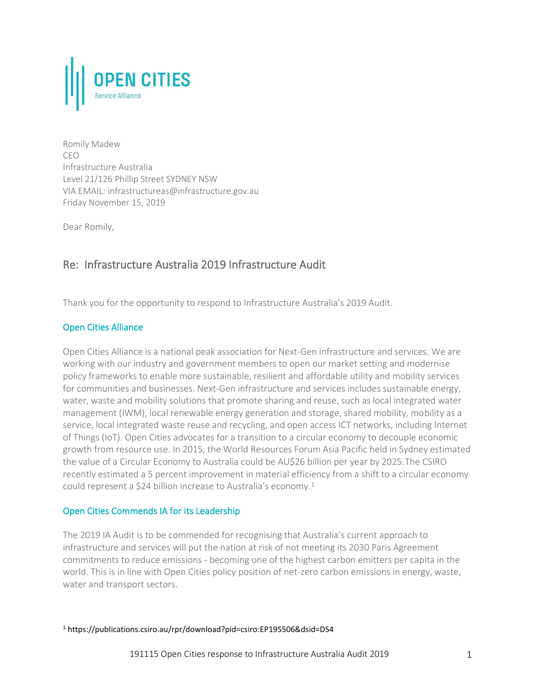

Romily Madew CEO Infrastructure Australia Level 21/126 Phillip Street SYDNEY NSW VIA EMAIL: infrastructureas@infrastructure.gov.au Friday November 15, 2019

Dear Romily,

# Re: Infrastructure Australia 2019 Infrastructure Audit

Thank you for the opportunity to respond to Infrastructure Australia's 2019 Audit.

## Open Cities Alliance

Open Cities Alliance is a national peak association for Next-Gen infrastructure and services. We are working with our industry and government members to open our market setting and modernise policy frameworks to enable more sustainable, resilient and affordable utility and mobility services for communities and businesses. Next-Gen infrastructure and services includes sustainable energy, water, waste and mobility solutions that promote sharing and reuse, such as local integrated water management (IWM), local renewable energy generation and storage, shared mobility, mobility as a service, local integrated waste reuse and recycling, and open access ICT networks, including Internet of Things (IoT). Open Cities advocates for a transition to a circular economy to decouple economic growth from resource use. In 2015, the World Resources Forum Asia Pacific held in Sydney estimated the value of a Circular Economy to Australia could be AU\$26 billion per year by 2025.The CSIRO recently estimated a 5 percent improvement in material efficiency from a shift to a circular economy could represent a \$24 billion increase to Australia's economy. 1

### Open Cities Commends IA for its Leadership

The 2019 IA Audit is to be commended for recognising that Australia's current approach to infrastructure and services will put the nation at risk of not meeting its 2030 Paris Agreement commitments to reduce emissions - becoming one of the highest carbon emitters per capita in the world. This is in line with Open Cities policy position of net-zero carbon emissions in energy, waste, water and transport sectors.

<sup>1</sup> https://publications.csiro.au/rpr/download?pid=csiro:EP195506&dsid=DS4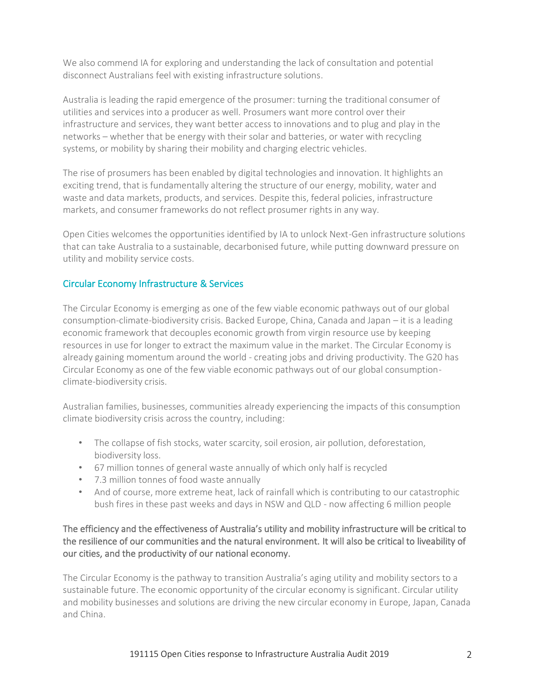We also commend IA for exploring and understanding the lack of consultation and potential disconnect Australians feel with existing infrastructure solutions.

Australia is leading the rapid emergence of the prosumer: turning the traditional consumer of utilities and services into a producer as well. Prosumers want more control over their infrastructure and services, they want better access to innovations and to plug and play in the networks – whether that be energy with their solar and batteries, or water with recycling systems, or mobility by sharing their mobility and charging electric vehicles.

The rise of prosumers has been enabled by digital technologies and innovation. It highlights an exciting trend, that is fundamentally altering the structure of our energy, mobility, water and waste and data markets, products, and services. Despite this, federal policies, infrastructure markets, and consumer frameworks do not reflect prosumer rights in any way.

Open Cities welcomes the opportunities identified by IA to unlock Next-Gen infrastructure solutions that can take Australia to a sustainable, decarbonised future, while putting downward pressure on utility and mobility service costs.

## Circular Economy Infrastructure & Services

The Circular Economy is emerging as one of the few viable economic pathways out of our global consumption-climate-biodiversity crisis. Backed Europe, China, Canada and Japan – it is a leading economic framework that decouples economic growth from virgin resource use by keeping resources in use for longer to extract the maximum value in the market. The Circular Economy is already gaining momentum around the world - creating jobs and driving productivity. The G20 has Circular Economy as one of the few viable economic pathways out of our global consumptionclimate-biodiversity crisis.

Australian families, businesses, communities already experiencing the impacts of this consumption climate biodiversity crisis across the country, including:

- The collapse of fish stocks, water scarcity, soil erosion, air pollution, deforestation, biodiversity loss.
- 67 million tonnes of general waste annually of which only half is recycled
- 7.3 million tonnes of food waste annually
- And of course, more extreme heat, lack of rainfall which is contributing to our catastrophic bush fires in these past weeks and days in NSW and QLD - now affecting 6 million people

## The efficiency and the effectiveness of Australia's utility and mobility infrastructure will be critical to the resilience of our communities and the natural environment. It will also be critical to liveability of our cities, and the productivity of our national economy.

The Circular Economy is the pathway to transition Australia's aging utility and mobility sectors to a sustainable future. The economic opportunity of the circular economy is significant. Circular utility and mobility businesses and solutions are driving the new circular economy in Europe, Japan, Canada and China.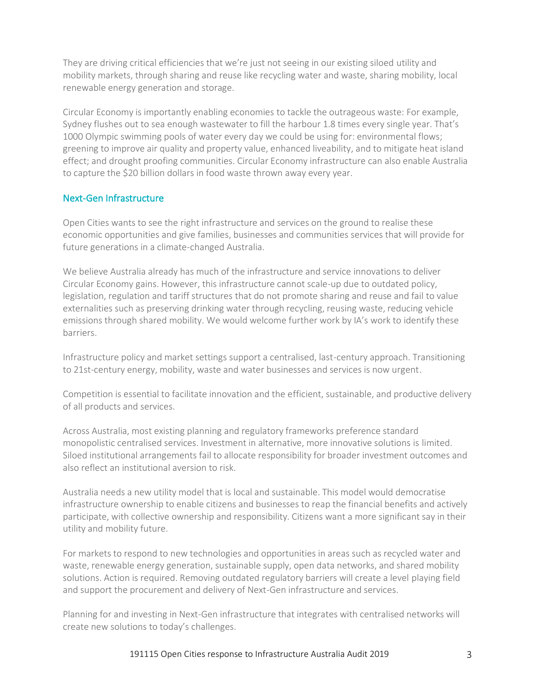They are driving critical efficiencies that we're just not seeing in our existing siloed utility and mobility markets, through sharing and reuse like recycling water and waste, sharing mobility, local renewable energy generation and storage.

Circular Economy is importantly enabling economies to tackle the outrageous waste: For example, Sydney flushes out to sea enough wastewater to fill the harbour 1.8 times every single year. That's 1000 Olympic swimming pools of water every day we could be using for: environmental flows; greening to improve air quality and property value, enhanced liveability, and to mitigate heat island effect; and drought proofing communities. Circular Economy infrastructure can also enable Australia to capture the \$20 billion dollars in food waste thrown away every year.

## Next-Gen Infrastructure

Open Cities wants to see the right infrastructure and services on the ground to realise these economic opportunities and give families, businesses and communities services that will provide for future generations in a climate-changed Australia.

We believe Australia already has much of the infrastructure and service innovations to deliver Circular Economy gains. However, this infrastructure cannot scale-up due to outdated policy, legislation, regulation and tariff structures that do not promote sharing and reuse and fail to value externalities such as preserving drinking water through recycling, reusing waste, reducing vehicle emissions through shared mobility. We would welcome further work by IA's work to identify these barriers.

Infrastructure policy and market settings support a centralised, last-century approach. Transitioning to 21st-century energy, mobility, waste and water businesses and services is now urgent.

Competition is essential to facilitate innovation and the efficient, sustainable, and productive delivery of all products and services.

Across Australia, most existing planning and regulatory frameworks preference standard monopolistic centralised services. Investment in alternative, more innovative solutions is limited. Siloed institutional arrangements fail to allocate responsibility for broader investment outcomes and also reflect an institutional aversion to risk.

Australia needs a new utility model that is local and sustainable. This model would democratise infrastructure ownership to enable citizens and businesses to reap the financial benefits and actively participate, with collective ownership and responsibility. Citizens want a more significant say in their utility and mobility future.

For markets to respond to new technologies and opportunities in areas such as recycled water and waste, renewable energy generation, sustainable supply, open data networks, and shared mobility solutions. Action is required. Removing outdated regulatory barriers will create a level playing field and support the procurement and delivery of Next-Gen infrastructure and services.

Planning for and investing in Next-Gen infrastructure that integrates with centralised networks will create new solutions to today's challenges.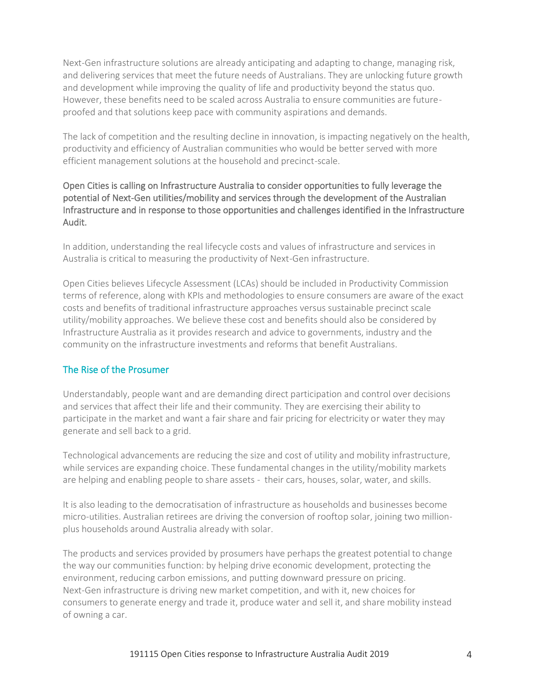Next-Gen infrastructure solutions are already anticipating and adapting to change, managing risk, and delivering services that meet the future needs of Australians. They are unlocking future growth and development while improving the quality of life and productivity beyond the status quo. However, these benefits need to be scaled across Australia to ensure communities are futureproofed and that solutions keep pace with community aspirations and demands.

The lack of competition and the resulting decline in innovation, is impacting negatively on the health, productivity and efficiency of Australian communities who would be better served with more efficient management solutions at the household and precinct-scale.

## Open Cities is calling on Infrastructure Australia to consider opportunities to fully leverage the potential of Next-Gen utilities/mobility and services through the development of the Australian Infrastructure and in response to those opportunities and challenges identified in the Infrastructure Audit.

In addition, understanding the real lifecycle costs and values of infrastructure and services in Australia is critical to measuring the productivity of Next-Gen infrastructure.

Open Cities believes Lifecycle Assessment (LCAs) should be included in Productivity Commission terms of reference, along with KPIs and methodologies to ensure consumers are aware of the exact costs and benefits of traditional infrastructure approaches versus sustainable precinct scale utility/mobility approaches. We believe these cost and benefits should also be considered by Infrastructure Australia as it provides research and advice to governments, industry and the community on the infrastructure investments and reforms that benefit Australians.

## The Rise of the Prosumer

Understandably, people want and are demanding direct participation and control over decisions and services that affect their life and their community. They are exercising their ability to participate in the market and want a fair share and fair pricing for electricity or water they may generate and sell back to a grid.

Technological advancements are reducing the size and cost of utility and mobility infrastructure, while services are expanding choice. These fundamental changes in the utility/mobility markets are helping and enabling people to share assets - their cars, houses, solar, water, and skills.

It is also leading to the democratisation of infrastructure as households and businesses become micro-utilities. Australian retirees are driving the conversion of rooftop solar, joining two millionplus households around Australia already with solar.

The products and services provided by prosumers have perhaps the greatest potential to change the way our communities function: by helping drive economic development, protecting the environment, reducing carbon emissions, and putting downward pressure on pricing. Next-Gen infrastructure is driving new market competition, and with it, new choices for consumers to generate energy and trade it, produce water and sell it, and share mobility instead of owning a car.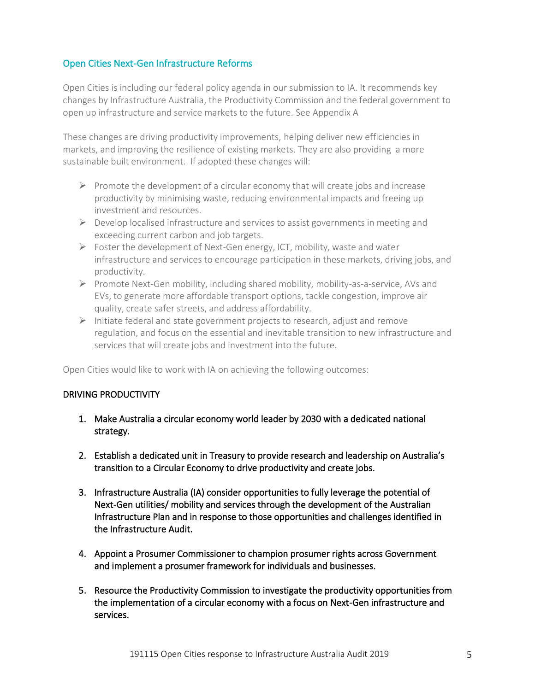### Open Cities Next-Gen Infrastructure Reforms

Open Cities is including our federal policy agenda in our submission to IA. It recommends key changes by Infrastructure Australia, the Productivity Commission and the federal government to open up infrastructure and service markets to the future. See Appendix A

These changes are driving productivity improvements, helping deliver new efficiencies in markets, and improving the resilience of existing markets. They are also providing a more sustainable built environment. If adopted these changes will:

- $\triangleright$  Promote the development of a circular economy that will create jobs and increase productivity by minimising waste, reducing environmental impacts and freeing up investment and resources.
- $\triangleright$  Develop localised infrastructure and services to assist governments in meeting and exceeding current carbon and job targets.
- ➢ Foster the development of Next-Gen energy, ICT, mobility, waste and water infrastructure and services to encourage participation in these markets, driving jobs, and productivity.
- $\triangleright$  Promote Next-Gen mobility, including shared mobility, mobility-as-a-service, AVs and EVs, to generate more affordable transport options, tackle congestion, improve air quality, create safer streets, and address affordability.
- $\triangleright$  Initiate federal and state government projects to research, adjust and remove regulation, and focus on the essential and inevitable transition to new infrastructure and services that will create jobs and investment into the future.

Open Cities would like to work with IA on achieving the following outcomes:

### DRIVING PRODUCTIVITY

- 1. Make Australia a circular economy world leader by 2030 with a dedicated national strategy.
- 2. Establish a dedicated unit in Treasury to provide research and leadership on Australia's transition to a Circular Economy to drive productivity and create jobs.
- 3. Infrastructure Australia (IA) consider opportunities to fully leverage the potential of Next-Gen utilities/ mobility and services through the development of the Australian Infrastructure Plan and in response to those opportunities and challenges identified in the Infrastructure Audit.
- 4. Appoint a Prosumer Commissioner to champion prosumer rights across Government and implement a prosumer framework for individuals and businesses.
- 5. Resource the Productivity Commission to investigate the productivity opportunities from the implementation of a circular economy with a focus on Next-Gen infrastructure and services.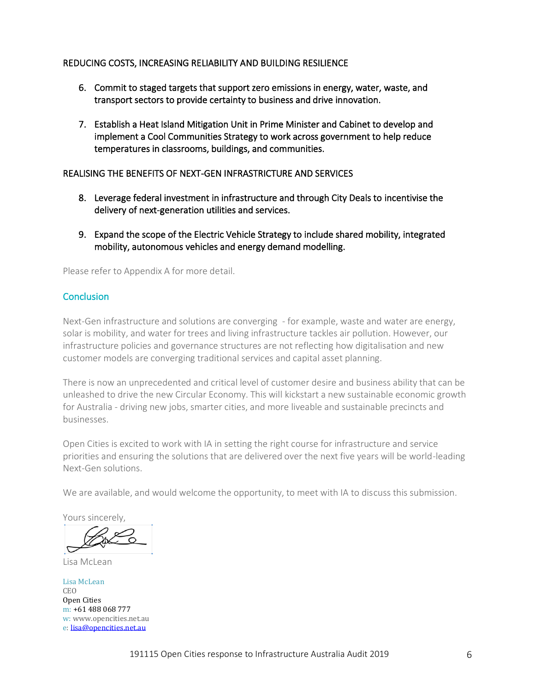### REDUCING COSTS, INCREASING RELIABILITY AND BUILDING RESILIENCE

- 6. Commit to staged targets that support zero emissions in energy, water, waste, and transport sectors to provide certainty to business and drive innovation.
- 7. Establish a Heat Island Mitigation Unit in Prime Minister and Cabinet to develop and implement a Cool Communities Strategy to work across government to help reduce temperatures in classrooms, buildings, and communities.

#### REALISING THE BENEFITS OF NEXT-GEN INFRASTRICTURE AND SERVICES

- 8. Leverage federal investment in infrastructure and through City Deals to incentivise the delivery of next-generation utilities and services.
- 9. Expand the scope of the Electric Vehicle Strategy to include shared mobility, integrated mobility, autonomous vehicles and energy demand modelling.

Please refer to Appendix A for more detail.

### **Conclusion**

Next-Gen infrastructure and solutions are converging - for example, waste and water are energy, solar is mobility, and water for trees and living infrastructure tackles air pollution. However, our infrastructure policies and governance structures are not reflecting how digitalisation and new customer models are converging traditional services and capital asset planning.

There is now an unprecedented and critical level of customer desire and business ability that can be unleashed to drive the new Circular Economy. This will kickstart a new sustainable economic growth for Australia - driving new jobs, smarter cities, and more liveable and sustainable precincts and businesses.

Open Cities is excited to work with IA in setting the right course for infrastructure and service priorities and ensuring the solutions that are delivered over the next five years will be world-leading Next-Gen solutions.

We are available, and would welcome the opportunity, to meet with IA to discuss this submission.

Yours sincerely,

Lisa McLean

Lisa McLean CEO Open Cities m: +61 488 068 777 w: www.opencities.net.au e: [lisa@opencities.net.au](mailto:lisa@opencities.net.au)